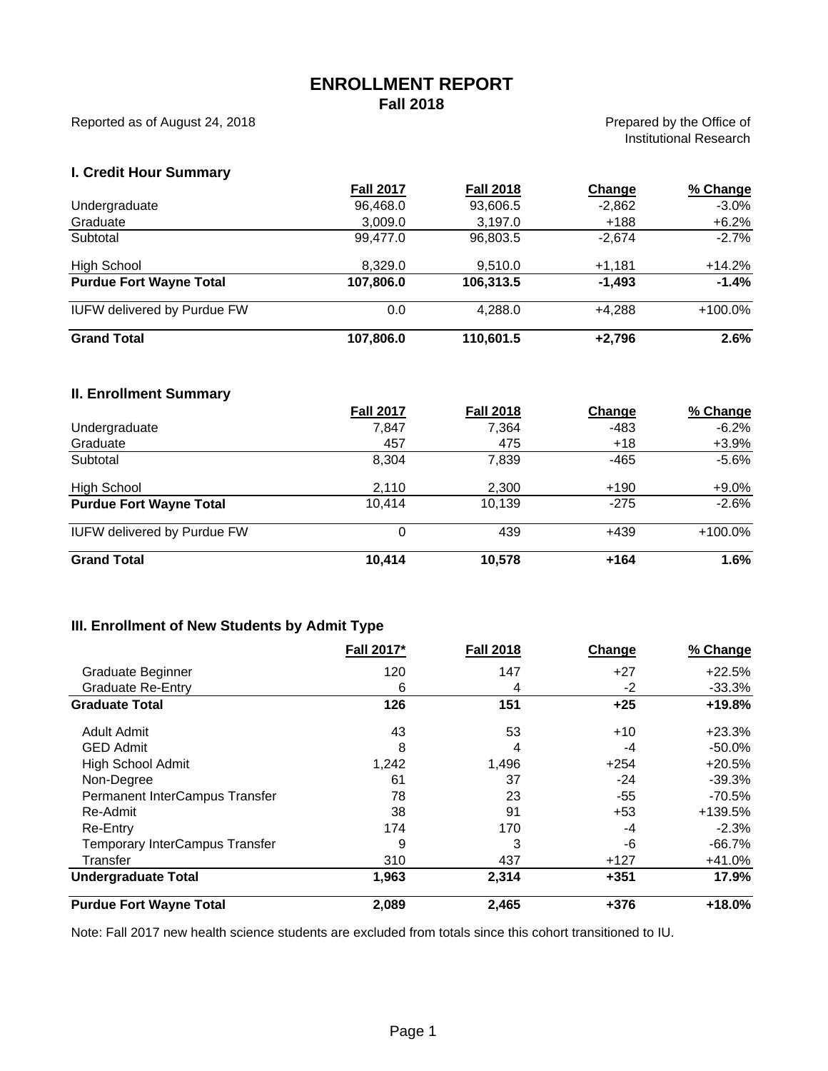### **ENROLLMENT REPORT Fall 2018**

Reported as of August 24, 2018

Prepared by the Office of Institutional Research

### **I. Credit Hour Summary**

|                                    | <b>Fall 2017</b> | <b>Fall 2018</b> | Change   | % Change   |
|------------------------------------|------------------|------------------|----------|------------|
| Undergraduate                      | 96,468.0         | 93,606.5         | $-2,862$ | $-3.0\%$   |
| Graduate                           | 3.009.0          | 3.197.0          | $+188$   | $+6.2%$    |
| Subtotal                           | 99.477.0         | 96,803.5         | $-2.674$ | $-2.7%$    |
| High School                        | 8.329.0          | 9.510.0          | $+1,181$ | $+14.2\%$  |
| <b>Purdue Fort Wayne Total</b>     | 107,806.0        | 106,313.5        | $-1,493$ | $-1.4%$    |
| <b>IUFW delivered by Purdue FW</b> | 0.0              | 4.288.0          | $+4.288$ | $+100.0\%$ |
| <b>Grand Total</b>                 | 107,806.0        | 110,601.5        | $+2,796$ | 2.6%       |

#### **II. Enrollment Summary**

|                                    | <b>Fall 2017</b> | <b>Fall 2018</b> | Change | % Change |
|------------------------------------|------------------|------------------|--------|----------|
| Undergraduate                      | 7,847            | 7,364            | -483   | $-6.2\%$ |
| Graduate                           | 457              | 475              | $+18$  | $+3.9%$  |
| Subtotal                           | 8.304            | 7.839            | $-465$ | $-5.6\%$ |
| High School                        | 2.110            | 2.300            | $+190$ | $+9.0\%$ |
| <b>Purdue Fort Wayne Total</b>     | 10.414           | 10.139           | $-275$ | $-2.6%$  |
| <b>IUFW delivered by Purdue FW</b> | 0                | 439              | +439   | +100.0%  |
| <b>Grand Total</b>                 | 10,414           | 10,578           | $+164$ | 1.6%     |

## **III. Enrollment of New Students by Admit Type**

|                                       | Fall 2017* | <b>Fall 2018</b> | Change | % Change  |
|---------------------------------------|------------|------------------|--------|-----------|
| Graduate Beginner                     | 120        | 147              | $+27$  | $+22.5%$  |
| <b>Graduate Re-Entry</b>              | 6          | 4                | -2     | $-33.3\%$ |
| <b>Graduate Total</b>                 | 126        | 151              | $+25$  | $+19.8%$  |
| <b>Adult Admit</b>                    | 43         | 53               | $+10$  | $+23.3%$  |
| <b>GED Admit</b>                      | 8          | 4                | -4     | $-50.0%$  |
| <b>High School Admit</b>              | 1,242      | 1,496            | $+254$ | $+20.5%$  |
| Non-Degree                            | 61         | 37               | $-24$  | $-39.3%$  |
| Permanent InterCampus Transfer        | 78         | 23               | $-55$  | $-70.5%$  |
| Re-Admit                              | 38         | 91               | $+53$  | +139.5%   |
| Re-Entry                              | 174        | 170              | -4     | $-2.3%$   |
| <b>Temporary InterCampus Transfer</b> | 9          | 3                | -6     | $-66.7%$  |
| Transfer                              | 310        | 437              | $+127$ | $+41.0%$  |
| <b>Undergraduate Total</b>            | 1,963      | 2,314            | $+351$ | 17.9%     |
| <b>Purdue Fort Wayne Total</b>        | 2,089      | 2,465            | $+376$ | $+18.0%$  |

Note: Fall 2017 new health science students are excluded from totals since this cohort transitioned to IU.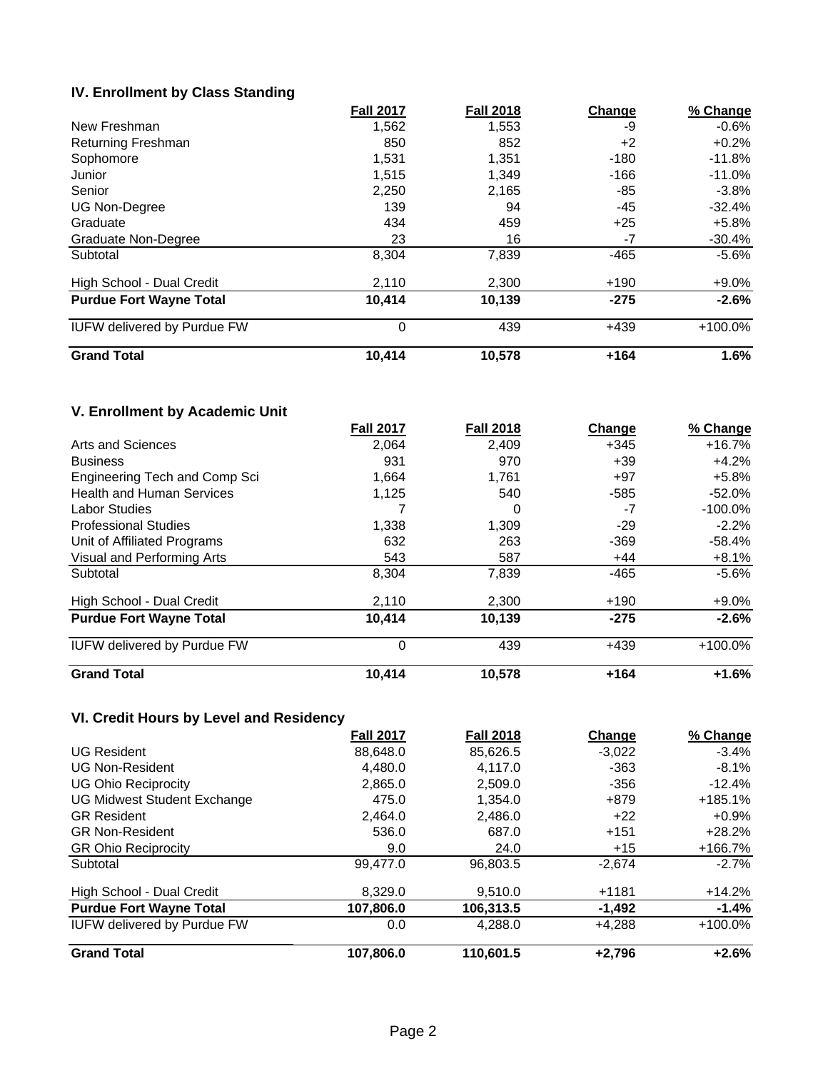# **IV. Enrollment by Class Standing**

|                                    | <b>Fall 2017</b> | <b>Fall 2018</b> | Change | % Change |
|------------------------------------|------------------|------------------|--------|----------|
| New Freshman                       | 1,562            | 1,553            | -9     | $-0.6%$  |
| Returning Freshman                 | 850              | 852              | $+2$   | $+0.2%$  |
| Sophomore                          | 1,531            | 1,351            | $-180$ | $-11.8%$ |
| Junior                             | 1.515            | 1.349            | $-166$ | $-11.0%$ |
| Senior                             | 2,250            | 2,165            | -85    | $-3.8\%$ |
| <b>UG Non-Degree</b>               | 139              | 94               | -45    | $-32.4%$ |
| Graduate                           | 434              | 459              | $+25$  | $+5.8%$  |
| Graduate Non-Degree                | 23               | 16               | -7     | $-30.4%$ |
| Subtotal                           | 8,304            | 7,839            | $-465$ | $-5.6%$  |
| High School - Dual Credit          | 2,110            | 2,300            | $+190$ | $+9.0\%$ |
| <b>Purdue Fort Wayne Total</b>     | 10,414           | 10,139           | $-275$ | $-2.6%$  |
| <b>IUFW delivered by Purdue FW</b> | $\mathbf 0$      | 439              | $+439$ | +100.0%  |
| <b>Grand Total</b>                 | 10,414           | 10,578           | $+164$ | 1.6%     |

# **V. Enrollment by Academic Unit**

|                                    | <b>Fall 2017</b> | <b>Fall 2018</b> | <b>Change</b> | % Change   |
|------------------------------------|------------------|------------------|---------------|------------|
| Arts and Sciences                  | 2,064            | 2,409            | +345          | $+16.7%$   |
| <b>Business</b>                    | 931              | 970              | $+39$         | $+4.2%$    |
| Engineering Tech and Comp Sci      | 1,664            | 1,761            | $+97$         | $+5.8%$    |
| <b>Health and Human Services</b>   | 1,125            | 540              | $-585$        | $-52.0%$   |
| <b>Labor Studies</b>               |                  | 0                | -7            | $-100.0\%$ |
| <b>Professional Studies</b>        | 1,338            | 1,309            | -29           | $-2.2%$    |
| Unit of Affiliated Programs        | 632              | 263              | $-369$        | $-58.4%$   |
| Visual and Performing Arts         | 543              | 587              | $+44$         | $+8.1%$    |
| Subtotal                           | 8,304            | 7,839            | $-465$        | $-5.6\%$   |
| High School - Dual Credit          | 2,110            | 2,300            | $+190$        | $+9.0\%$   |
| <b>Purdue Fort Wayne Total</b>     | 10,414           | 10,139           | $-275$        | $-2.6%$    |
| <b>IUFW delivered by Purdue FW</b> | $\mathbf 0$      | 439              | $+439$        | $+100.0\%$ |
| <b>Grand Total</b>                 | 10,414           | 10,578           | $+164$        | $+1.6%$    |

# **VI. Credit Hours by Level and Residency**

|                                    | <b>Fall 2017</b> | <b>Fall 2018</b> | Change   | % Change   |
|------------------------------------|------------------|------------------|----------|------------|
| <b>UG Resident</b>                 | 88,648.0         | 85,626.5         | $-3,022$ | $-3.4\%$   |
| <b>UG Non-Resident</b>             | 4.480.0          | 4.117.0          | $-363$   | $-8.1\%$   |
| <b>UG Ohio Reciprocity</b>         | 2,865.0          | 2,509.0          | $-356$   | $-12.4%$   |
| <b>UG Midwest Student Exchange</b> | 475.0            | 1.354.0          | +879     | $+185.1%$  |
| <b>GR Resident</b>                 | 2.464.0          | 2.486.0          | $+22$    | +0.9%      |
| <b>GR Non-Resident</b>             | 536.0            | 687.0            | $+151$   | $+28.2%$   |
| <b>GR Ohio Reciprocity</b>         | 9.0              | 24.0             | $+15$    | +166.7%    |
| Subtotal                           | 99,477.0         | 96,803.5         | $-2,674$ | $-2.7%$    |
| High School - Dual Credit          | 8.329.0          | 9.510.0          | $+1181$  | $+14.2%$   |
| <b>Purdue Fort Wayne Total</b>     | 107,806.0        | 106,313.5        | -1,492   | $-1.4%$    |
| <b>IUFW delivered by Purdue FW</b> | 0.0              | 4,288.0          | $+4,288$ | $+100.0\%$ |
| <b>Grand Total</b>                 | 107,806.0        | 110,601.5        | $+2,796$ | $+2.6%$    |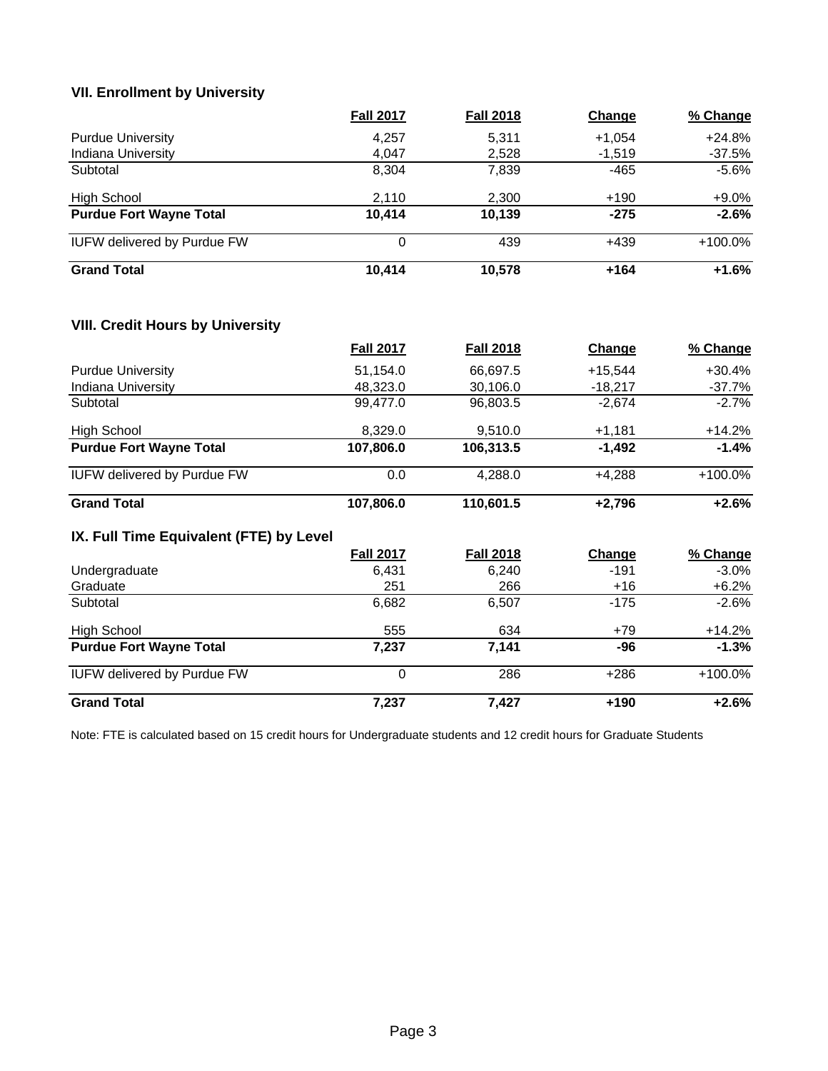# **VII. Enrollment by University**

|                                    | <b>Fall 2017</b> | <b>Fall 2018</b> | Change   | % Change   |
|------------------------------------|------------------|------------------|----------|------------|
| <b>Purdue University</b>           | 4,257            | 5.311            | $+1,054$ | $+24.8%$   |
| <b>Indiana University</b>          | 4.047            | 2,528            | $-1,519$ | $-37.5%$   |
| Subtotal                           | 8.304            | 7.839            | -465     | $-5.6%$    |
| High School                        | 2,110            | 2,300            | $+190$   | $+9.0\%$   |
| <b>Purdue Fort Wayne Total</b>     | 10.414           | 10.139           | $-275$   | $-2.6%$    |
| <b>IUFW delivered by Purdue FW</b> | 0                | 439              | +439     | $+100.0\%$ |
| <b>Grand Total</b>                 | 10,414           | 10.578           | $+164$   | $+1.6%$    |

### **VIII. Credit Hours by University**

|                                         | <b>Fall 2017</b> | <b>Fall 2018</b> | Change    | % Change   |
|-----------------------------------------|------------------|------------------|-----------|------------|
| <b>Purdue University</b>                | 51,154.0         | 66,697.5         | $+15,544$ | +30.4%     |
| Indiana University                      | 48,323.0         | 30,106.0         | $-18,217$ | $-37.7%$   |
| Subtotal                                | 99,477.0         | 96,803.5         | $-2,674$  | $-2.7%$    |
| <b>High School</b>                      | 8,329.0          | 9,510.0          | $+1,181$  | $+14.2%$   |
| <b>Purdue Fort Wayne Total</b>          | 107,806.0        | 106,313.5        | $-1,492$  | $-1.4%$    |
| <b>IUFW delivered by Purdue FW</b>      | 0.0              | 4,288.0          | $+4,288$  | $+100.0\%$ |
| <b>Grand Total</b>                      | 107,806.0        | 110,601.5        | $+2,796$  | $+2.6%$    |
| IX. Full Time Equivalent (FTE) by Level |                  |                  |           |            |
|                                         | <b>Fall 2017</b> | <b>Fall 2018</b> | Change    | % Change   |
| Undergraduate                           | 6,431            | 6,240            | $-191$    | $-3.0\%$   |
| Graduate                                | 251              | 266              | $+16$     | $+6.2%$    |
| Subtotal                                | 6,682            | 6,507            | $-175$    | $-2.6%$    |
| <b>High School</b>                      | 555              | 634              | $+79$     | $+14.2%$   |
| <b>Purdue Fort Wayne Total</b>          | 7,237            | 7,141            | -96       | $-1.3%$    |
| <b>IUFW delivered by Purdue FW</b>      | 0                | 286              | $+286$    | +100.0%    |
| <b>Grand Total</b>                      | 7,237            | 7,427            | +190      | $+2.6%$    |

Note: FTE is calculated based on 15 credit hours for Undergraduate students and 12 credit hours for Graduate Students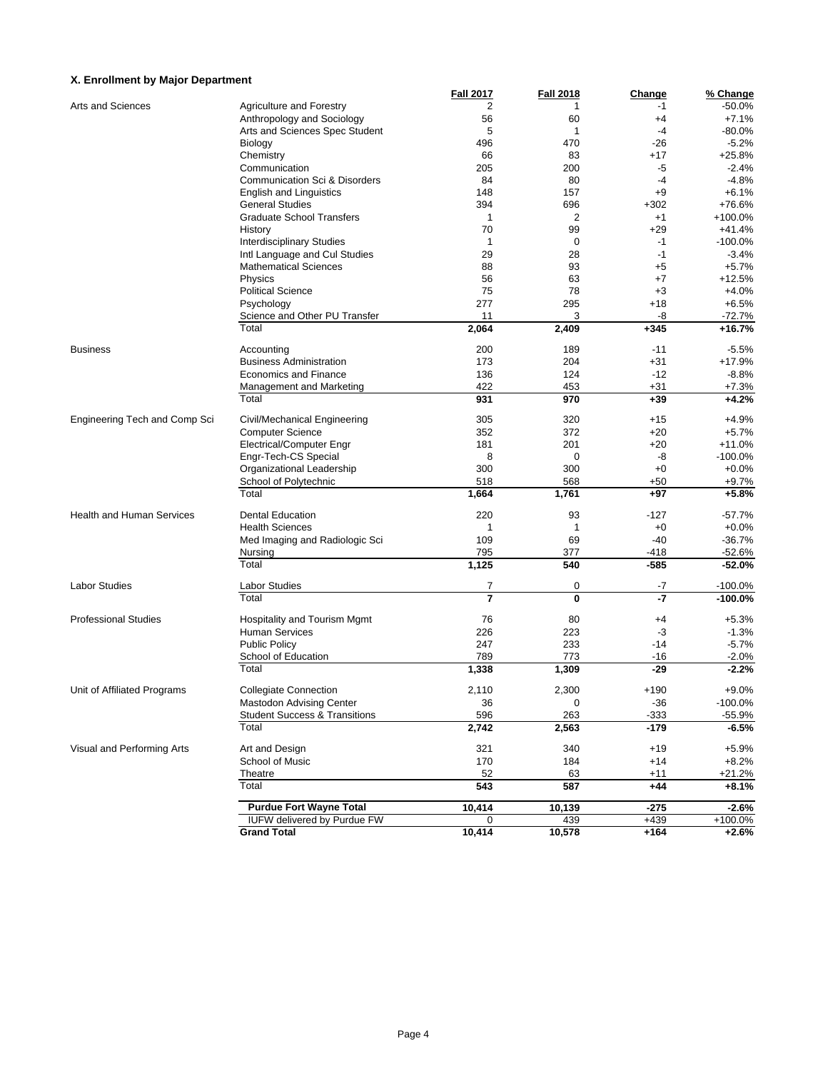#### **X. Enrollment by Major Department**

|                                  |                                          | <b>Fall 2017</b> | <b>Fall 2018</b> | <b>Change</b>  | % Change           |
|----------------------------------|------------------------------------------|------------------|------------------|----------------|--------------------|
| Arts and Sciences                | <b>Agriculture and Forestry</b>          | 2                | 1                | $-1$           | $-50.0%$           |
|                                  | Anthropology and Sociology               | 56               | 60               | +4             | $+7.1%$            |
|                                  | Arts and Sciences Spec Student           | 5                | 1                | $-4$           | $-80.0%$           |
|                                  | Biology                                  | 496              | 470              | $-26$          | $-5.2%$            |
|                                  | Chemistry                                | 66               | 83               | +17            | +25.8%             |
|                                  | Communication                            | 205              | 200              | -5             | $-2.4%$            |
|                                  | Communication Sci & Disorders            | 84               | 80               | $-4$           | $-4.8%$            |
|                                  | <b>English and Linguistics</b>           | 148              | 157              | $+9$           | $+6.1%$            |
|                                  | <b>General Studies</b>                   | 394              | 696              | $+302$         | +76.6%             |
|                                  | <b>Graduate School Transfers</b>         | $\mathbf{1}$     | $\overline{2}$   | $+1$           | +100.0%            |
|                                  | History                                  | 70               | 99               | $+29$          | +41.4%             |
|                                  | <b>Interdisciplinary Studies</b>         | $\mathbf{1}$     | 0                | $-1$           | $-100.0%$          |
|                                  | Intl Language and Cul Studies            | 29               | 28               | $-1$           | $-3.4%$            |
|                                  | <b>Mathematical Sciences</b>             | 88               | 93               | $+5$           | $+5.7%$            |
|                                  |                                          |                  |                  |                | $+12.5%$           |
|                                  | Physics                                  | 56               | 63               | +7             |                    |
|                                  | <b>Political Science</b>                 | 75               | 78               | $+3$           | $+4.0%$            |
|                                  | Psychology                               | 277              | 295              | $+18$          | $+6.5%$            |
|                                  | Science and Other PU Transfer            | 11               | 3                | -8             | $-72.7%$           |
|                                  | Total                                    | 2,064            | 2,409            | $+345$         | +16.7%             |
| <b>Business</b>                  | Accounting                               | 200              | 189              | $-11$          | $-5.5%$            |
|                                  | <b>Business Administration</b>           | 173              | 204              | $+31$          | +17.9%             |
|                                  | <b>Economics and Finance</b>             | 136              | 124              | $-12$          | $-8.8%$            |
|                                  | Management and Marketing                 | 422              | 453              | $+31$          | $+7.3%$            |
|                                  | Total                                    | 931              | 970              | $+39$          | $+4.2%$            |
| Engineering Tech and Comp Sci    | Civil/Mechanical Engineering             | 305              | 320              | $+15$          | $+4.9%$            |
|                                  | <b>Computer Science</b>                  | 352              | 372              | $+20$          | $+5.7%$            |
|                                  | Electrical/Computer Engr                 | 181              | 201              | $+20$          | $+11.0%$           |
|                                  | Engr-Tech-CS Special                     | 8                | 0                | -8             | $-100.0%$          |
|                                  |                                          | 300              | 300              | $+0$           | $+0.0%$            |
|                                  | Organizational Leadership                |                  |                  |                |                    |
|                                  | School of Polytechnic<br>Total           | 518<br>1,664     | 568<br>1,761     | $+50$<br>$+97$ | $+9.7%$<br>$+5.8%$ |
|                                  |                                          |                  |                  |                |                    |
| <b>Health and Human Services</b> | <b>Dental Education</b>                  | 220              | 93               | $-127$         | $-57.7%$           |
|                                  | <b>Health Sciences</b>                   | 1                | 1                | $+0$           | $+0.0%$            |
|                                  | Med Imaging and Radiologic Sci           | 109              | 69               | $-40$          | $-36.7%$           |
|                                  | Nursing                                  | 795              | 377              | $-418$         | $-52.6%$           |
|                                  | Total                                    | 1,125            | 540              | $-585$         | $-52.0%$           |
| <b>Labor Studies</b>             | <b>Labor Studies</b>                     | 7                | 0                | -7             | $-100.0%$          |
|                                  | Total                                    | $\overline{7}$   | 0                | $-7$           | $-100.0%$          |
| <b>Professional Studies</b>      | Hospitality and Tourism Mgmt             | 76               | 80               | +4             | $+5.3%$            |
|                                  | <b>Human Services</b>                    | 226              | 223              | -3             | $-1.3%$            |
|                                  | <b>Public Policy</b>                     | 247              | 233              | $-14$          | $-5.7%$            |
|                                  | School of Education                      | 789              | 773              | $-16$          | $-2.0%$            |
|                                  | Total                                    | 1,338            | 1,309            | $-29$          | $-2.2%$            |
|                                  |                                          |                  |                  |                |                    |
| Unit of Affiliated Programs      | <b>Collegiate Connection</b>             | 2,110            | 2,300            | $+190$         | $+9.0%$            |
|                                  | <b>Mastodon Advising Center</b>          | 36               | 0                | $-36$          | $-100.0%$          |
|                                  | <b>Student Success &amp; Transitions</b> | 596              | 263              | $-333$         | $-55.9%$           |
|                                  | Total                                    | 2,742            | 2,563            | $-179$         | -6.5%              |
| Visual and Performing Arts       | Art and Design                           | 321              | 340              | $+19$          | $+5.9%$            |
|                                  | School of Music                          | 170              | 184              | $+14$          | $+8.2%$            |
|                                  | Theatre                                  | 52               | 63               | $+11$          | $+21.2%$           |
|                                  | Total                                    | 543              | 587              | $+44$          | $+8.1%$            |
|                                  | <b>Purdue Fort Wayne Total</b>           | 10,414           | 10,139           | $-275$         | $-2.6%$            |
|                                  | <b>IUFW delivered by Purdue FW</b>       | 0                | 439              | $+439$         | +100.0%            |
|                                  | <b>Grand Total</b>                       | 10,414           | 10,578           | $+164$         | $+2.6%$            |
|                                  |                                          |                  |                  |                |                    |